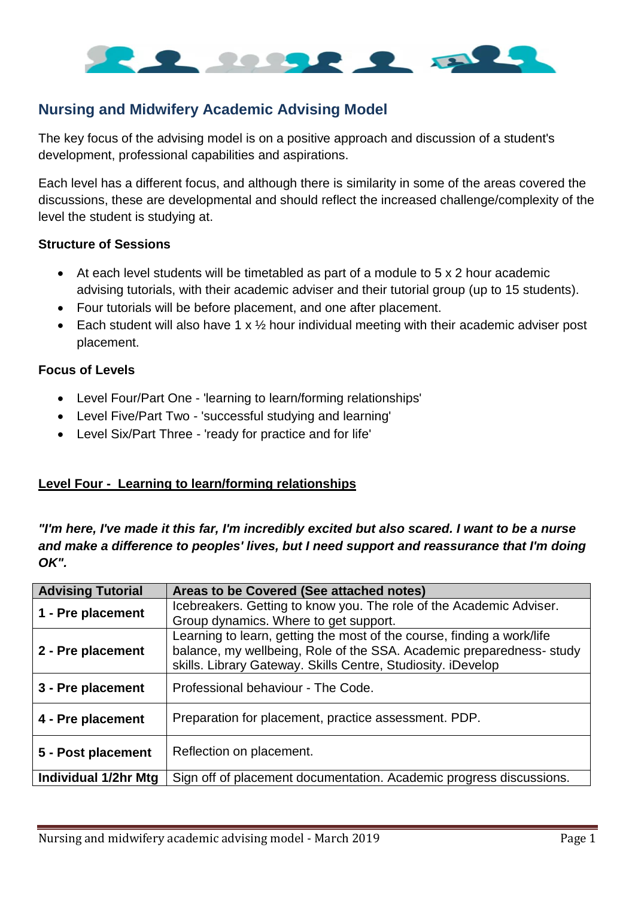

# **Nursing and Midwifery Academic Advising Model**

The key focus of the advising model is on a positive approach and discussion of a student's development, professional capabilities and aspirations.

Each level has a different focus, and although there is similarity in some of the areas covered the discussions, these are developmental and should reflect the increased challenge/complexity of the level the student is studying at.

### **Structure of Sessions**

- At each level students will be timetabled as part of a module to 5 x 2 hour academic advising tutorials, with their academic adviser and their tutorial group (up to 15 students).
- Four tutorials will be before placement, and one after placement.
- Each student will also have 1 x  $\frac{1}{2}$  hour individual meeting with their academic adviser post placement.

# **Focus of Levels**

- Level Four/Part One 'learning to learn/forming relationships'
- Level Five/Part Two 'successful studying and learning'
- Level Six/Part Three 'ready for practice and for life'

# **Level Four - Learning to learn/forming relationships**

# *"I'm here, I've made it this far, I'm incredibly excited but also scared. I want to be a nurse and make a difference to peoples' lives, but I need support and reassurance that I'm doing OK".*

| <b>Advising Tutorial</b> | Areas to be Covered (See attached notes)                                                                                                                                                                       |
|--------------------------|----------------------------------------------------------------------------------------------------------------------------------------------------------------------------------------------------------------|
| 1 - Pre placement        | Icebreakers. Getting to know you. The role of the Academic Adviser.<br>Group dynamics. Where to get support.                                                                                                   |
| 2 - Pre placement        | Learning to learn, getting the most of the course, finding a work/life<br>balance, my wellbeing, Role of the SSA. Academic preparedness- study<br>skills. Library Gateway. Skills Centre, Studiosity. iDevelop |
| 3 - Pre placement        | Professional behaviour - The Code.                                                                                                                                                                             |
| 4 - Pre placement        | Preparation for placement, practice assessment. PDP.                                                                                                                                                           |
| 5 - Post placement       | Reflection on placement.                                                                                                                                                                                       |
| Individual 1/2hr Mtg     | Sign off of placement documentation. Academic progress discussions.                                                                                                                                            |